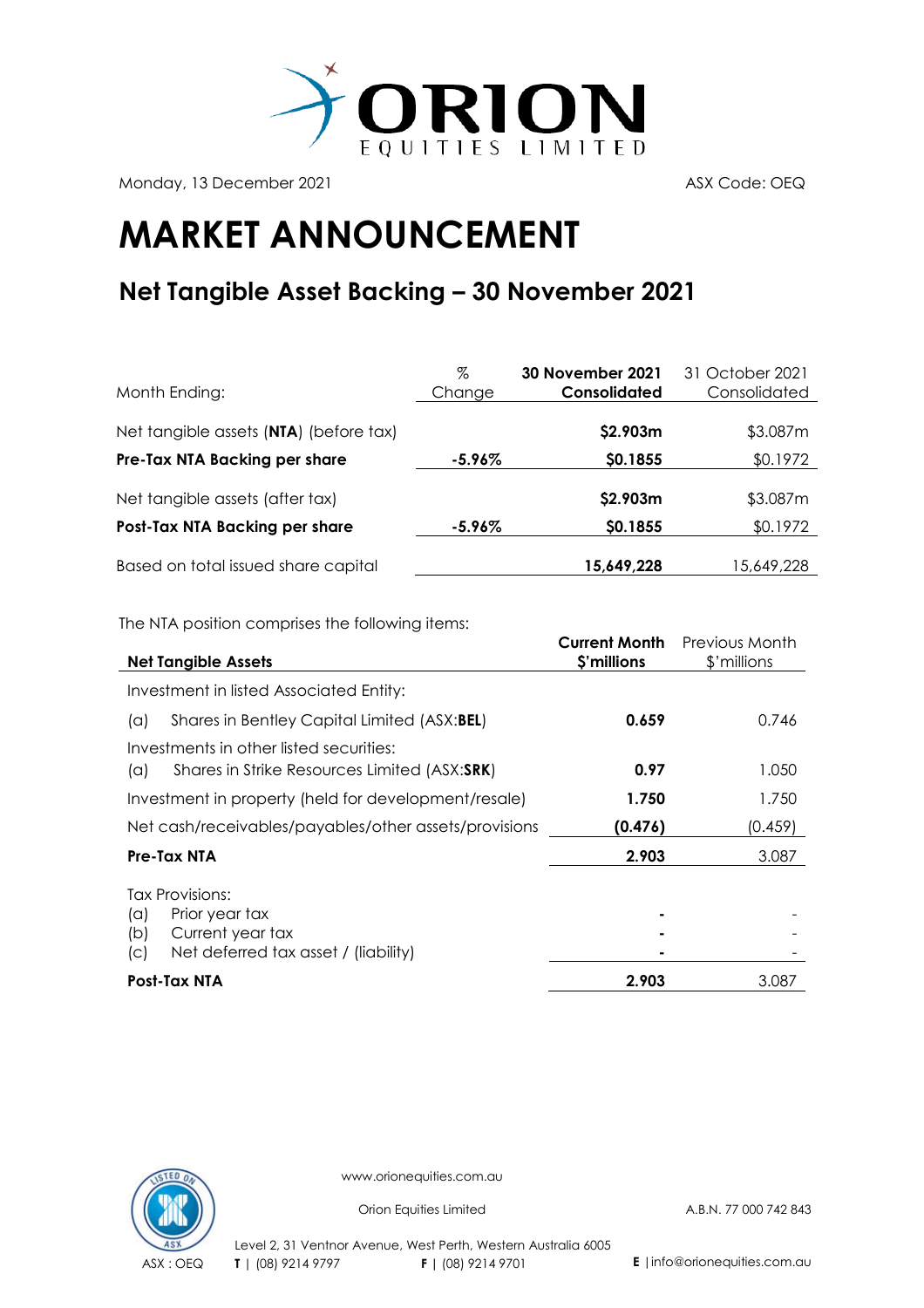

Monday, 13 December 2021 ASX Code: OEQ

## **MARKET ANNOUNCEMENT**

## **Net Tangible Asset Backing – 30 November 2021**

| Month Ending:                          | %<br>Change | <b>30 November 2021</b><br>Consolidated | 31 October 2021<br>Consolidated |
|----------------------------------------|-------------|-----------------------------------------|---------------------------------|
| Net tangible assets (NTA) (before tax) |             | \$2.903m                                | \$3.087m                        |
| Pre-Tax NTA Backing per share          | $-5.96\%$   | \$0.1855                                | \$0.1972                        |
| Net tangible assets (after tax)        |             | \$2.903m                                | \$3.087m                        |
| Post-Tax NTA Backing per share         | $-5.96\%$   | \$0.1855                                | \$0.1972                        |
| Based on total issued share capital    |             | 15,649,228                              | 15,649,228                      |

The NTA position comprises the following items:

| <b>Net Tangible Assets</b>                                                                                         | <b>Current Month</b><br>\$'millions | Previous Month<br>\$'millions |
|--------------------------------------------------------------------------------------------------------------------|-------------------------------------|-------------------------------|
| Investment in listed Associated Entity:                                                                            |                                     |                               |
| Shares in Bentley Capital Limited (ASX:BEL)<br>(a)                                                                 | 0.659                               | 0.746                         |
| Investments in other listed securities:<br>Shares in Strike Resources Limited (ASX:SRK)<br>$(\alpha)$              | 0.97                                | 1.050                         |
| Investment in property (held for development/resale)                                                               | 1.750                               | 1.750                         |
| Net cash/receivables/payables/other assets/provisions                                                              | (0.476)                             | (0.459)                       |
| Pre-Tax NTA                                                                                                        | 2.903                               | 3.087                         |
| Tax Provisions:<br>Prior year tax<br>(a)<br>Current year tax<br>(b)<br>Net deferred tax asset / (liability)<br>(C) |                                     |                               |
| Post-Tax NTA                                                                                                       | 2.903                               | 3.087                         |



www.orionequities.com.au

Orion Equities Limited A.B.N. 77 000 742 843

Level 2, 31 Ventnor Avenue, West Perth, Western Australia 6005 ASX : OEQ **T** | (08) 9214 9797 **F |** (08) 9214 9701 **E** |info@orionequities.com.au